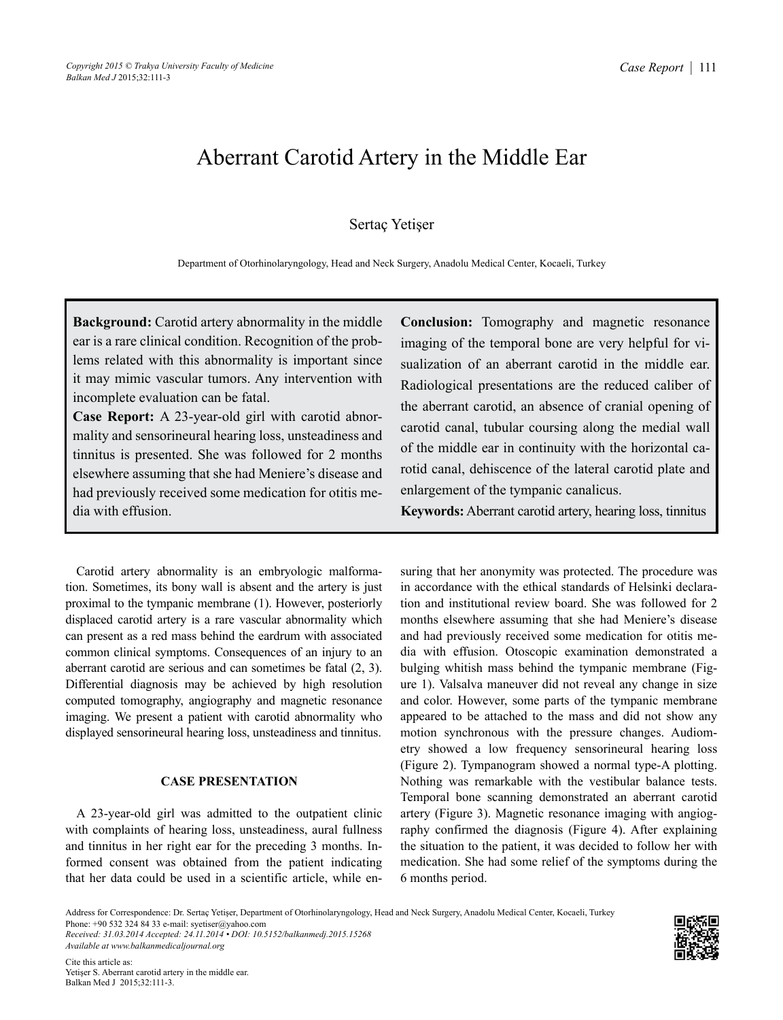# Aberrant Carotid Artery in the Middle Ear

## Sertaç Yetişer

Department of Otorhinolaryngology, Head and Neck Surgery, Anadolu Medical Center, Kocaeli, Turkey

**Background:** Carotid artery abnormality in the middle ear is a rare clinical condition. Recognition of the problems related with this abnormality is important since it may mimic vascular tumors. Any intervention with incomplete evaluation can be fatal.

**Case Report:** A 23-year-old girl with carotid abnormality and sensorineural hearing loss, unsteadiness and tinnitus is presented. She was followed for 2 months elsewhere assuming that she had Meniere's disease and had previously received some medication for otitis media with effusion.

Carotid artery abnormality is an embryologic malformation. Sometimes, its bony wall is absent and the artery is just proximal to the tympanic membrane (1). However, posteriorly displaced carotid artery is a rare vascular abnormality which can present as a red mass behind the eardrum with associated common clinical symptoms. Consequences of an injury to an aberrant carotid are serious and can sometimes be fatal (2, 3). Differential diagnosis may be achieved by high resolution computed tomography, angiography and magnetic resonance imaging. We present a patient with carotid abnormality who displayed sensorineural hearing loss, unsteadiness and tinnitus.

## **CASE PRESENTATION**

A 23-year-old girl was admitted to the outpatient clinic with complaints of hearing loss, unsteadiness, aural fullness and tinnitus in her right ear for the preceding 3 months. Informed consent was obtained from the patient indicating that her data could be used in a scientific article, while en-

**Conclusion:** Tomography and magnetic resonance imaging of the temporal bone are very helpful for visualization of an aberrant carotid in the middle ear. Radiological presentations are the reduced caliber of the aberrant carotid, an absence of cranial opening of carotid canal, tubular coursing along the medial wall of the middle ear in continuity with the horizontal carotid canal, dehiscence of the lateral carotid plate and enlargement of the tympanic canalicus.

**Keywords:** Aberrant carotid artery, hearing loss, tinnitus

suring that her anonymity was protected. The procedure was in accordance with the ethical standards of Helsinki declaration and institutional review board. She was followed for 2 months elsewhere assuming that she had Meniere's disease and had previously received some medication for otitis media with effusion. Otoscopic examination demonstrated a bulging whitish mass behind the tympanic membrane (Figure 1). Valsalva maneuver did not reveal any change in size and color. However, some parts of the tympanic membrane appeared to be attached to the mass and did not show any motion synchronous with the pressure changes. Audiometry showed a low frequency sensorineural hearing loss (Figure 2). Tympanogram showed a normal type-A plotting. Nothing was remarkable with the vestibular balance tests. Temporal bone scanning demonstrated an aberrant carotid artery (Figure 3). Magnetic resonance imaging with angiography confirmed the diagnosis (Figure 4). After explaining the situation to the patient, it was decided to follow her with medication. She had some relief of the symptoms during the 6 months period.

*Received: 31.03.2014 Accepted: 24.11.2014 • DOI: 10.5152/balkanmedj.2015.15268 Available at www.balkanmedicaljournal.org*



Address for Correspondence: Dr. Sertaç Yetişer, Department of Otorhinolaryngology, Head and Neck Surgery, Anadolu Medical Center, Kocaeli, Turkey Phone: +90 532 324 84 33 e-mail: syetiser@yahoo.com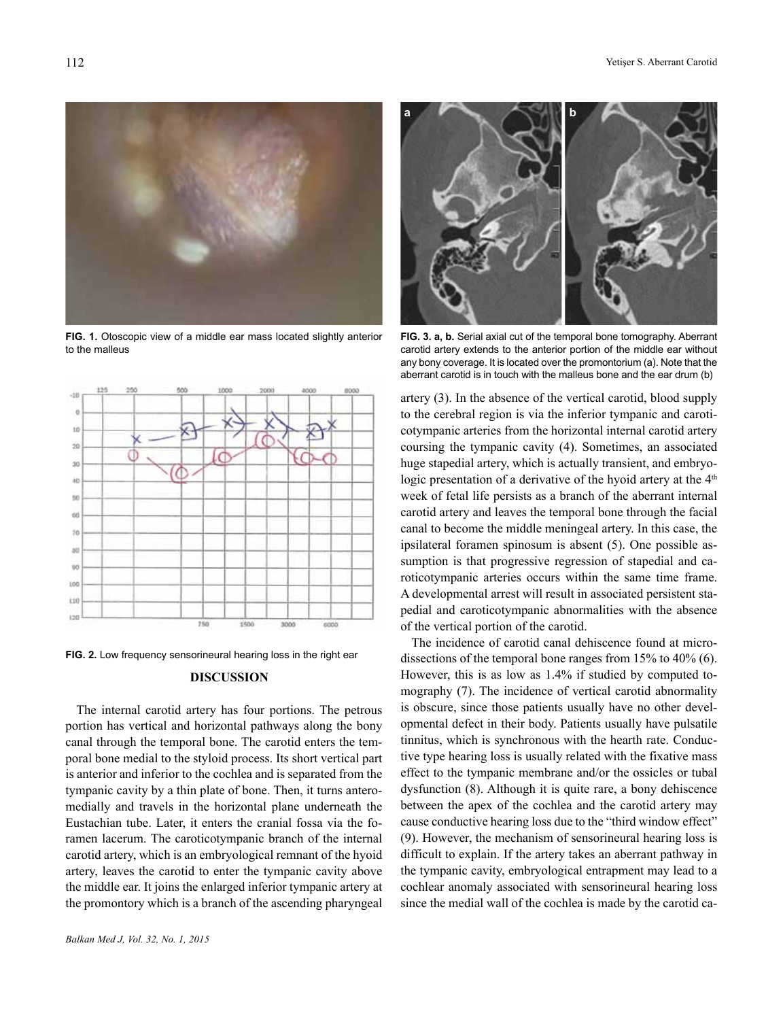

**FIG. 1.** Otoscopic view of a middle ear mass located slightly anterior to the malleus



**FIG. 2.** Low frequency sensorineural hearing loss in the right ear

### **DISCUSSION**

The internal carotid artery has four portions. The petrous portion has vertical and horizontal pathways along the bony canal through the temporal bone. The carotid enters the temporal bone medial to the styloid process. Its short vertical part is anterior and inferior to the cochlea and is separated from the tympanic cavity by a thin plate of bone. Then, it turns anteromedially and travels in the horizontal plane underneath the Eustachian tube. Later, it enters the cranial fossa via the foramen lacerum. The caroticotympanic branch of the internal carotid artery, which is an embryological remnant of the hyoid artery, leaves the carotid to enter the tympanic cavity above the middle ear. It joins the enlarged inferior tympanic artery at the promontory which is a branch of the ascending pharyngeal



**FIG. 3. a, b.** Serial axial cut of the temporal bone tomography. Aberrant carotid artery extends to the anterior portion of the middle ear without any bony coverage. It is located over the promontorium (a). Note that the aberrant carotid is in touch with the malleus bone and the ear drum (b)

artery (3). In the absence of the vertical carotid, blood supply to the cerebral region is via the inferior tympanic and caroticotympanic arteries from the horizontal internal carotid artery coursing the tympanic cavity (4). Sometimes, an associated huge stapedial artery, which is actually transient, and embryologic presentation of a derivative of the hyoid artery at the  $4<sup>th</sup>$ week of fetal life persists as a branch of the aberrant internal carotid artery and leaves the temporal bone through the facial canal to become the middle meningeal artery. In this case, the ipsilateral foramen spinosum is absent (5). One possible assumption is that progressive regression of stapedial and caroticotympanic arteries occurs within the same time frame. A developmental arrest will result in associated persistent stapedial and caroticotympanic abnormalities with the absence of the vertical portion of the carotid.

The incidence of carotid canal dehiscence found at microdissections of the temporal bone ranges from 15% to 40% (6). However, this is as low as 1.4% if studied by computed tomography (7). The incidence of vertical carotid abnormality is obscure, since those patients usually have no other developmental defect in their body. Patients usually have pulsatile tinnitus, which is synchronous with the hearth rate. Conductive type hearing loss is usually related with the fixative mass effect to the tympanic membrane and/or the ossicles or tubal dysfunction (8). Although it is quite rare, a bony dehiscence between the apex of the cochlea and the carotid artery may cause conductive hearing loss due to the "third window effect" (9). However, the mechanism of sensorineural hearing loss is difficult to explain. If the artery takes an aberrant pathway in the tympanic cavity, embryological entrapment may lead to a cochlear anomaly associated with sensorineural hearing loss since the medial wall of the cochlea is made by the carotid ca-